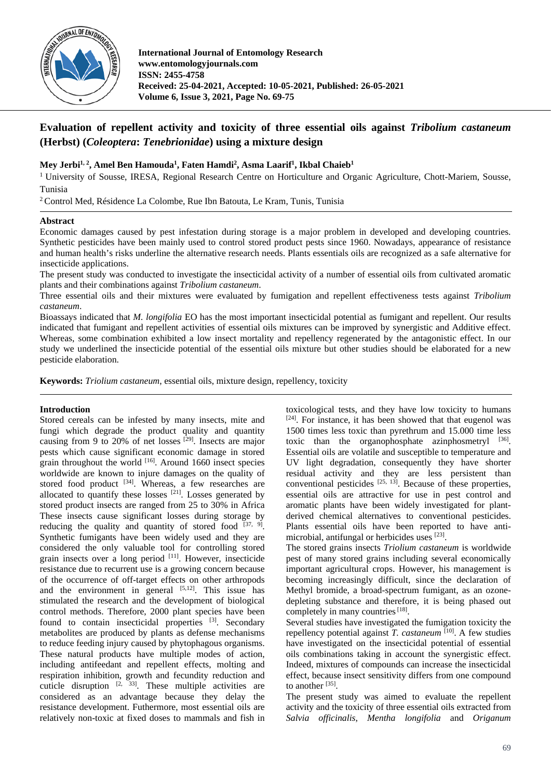

# **Evaluation of repellent activity and toxicity of three essential oils against** *Tribolium castaneum* **(Herbst) (***Coleoptera***:** *Tenebrionidae***) using a mixture design**

# Mey Jerbi<sup>1, 2</sup>, Amel Ben Hamouda<sup>1</sup>, Faten Hamdi<sup>2</sup>, Asma Laarif<sup>1</sup>, Ikbal Chaieb<sup>1</sup>

<sup>1</sup> University of Sousse, IRESA, Regional Research Centre on Horticulture and Organic Agriculture, Chott-Mariem, Sousse, Tunisia

<sup>2</sup> Control Med, Résidence La Colombe, Rue Ibn Batouta, Le Kram, Tunis, Tunisia

# **Abstract**

Economic damages caused by pest infestation during storage is a major problem in developed and developing countries. Synthetic pesticides have been mainly used to control stored product pests since 1960. Nowadays, appearance of resistance and human health's risks underline the alternative research needs. Plants essentials oils are recognized as a safe alternative for insecticide applications.

The present study was conducted to investigate the insecticidal activity of a number of essential oils from cultivated aromatic plants and their combinations against *Tribolium castaneum*.

Three essential oils and their mixtures were evaluated by fumigation and repellent effectiveness tests against *Tribolium castaneum*.

Bioassays indicated that *M. longifolia* EO has the most important insecticidal potential as fumigant and repellent. Our results indicated that fumigant and repellent activities of essential oils mixtures can be improved by synergistic and Additive effect. Whereas, some combination exhibited a low insect mortality and repellency regenerated by the antagonistic effect. In our study we underlined the insecticide potential of the essential oils mixture but other studies should be elaborated for a new pesticide elaboration.

**Keywords:** *Triolium castaneum*, essential oils, mixture design, repellency, toxicity

# **Introduction**

Stored cereals can be infested by many insects, mite and fungi which degrade the product quality and quantity causing from 9 to 20% of net losses  $[29]$ . Insects are major pests which cause significant economic damage in stored grain throughout the world  $^{[16]}$ . Around 1660 insect species worldwide are known to injure damages on the quality of stored food product <sup>[34]</sup>. Whereas, a few researches are allocated to quantify these losses  $[21]$ . Losses generated by stored product insects are ranged from 25 to 30% in Africa These insects cause significant losses during storage by reducing the quality and quantity of stored food  $[37, 9]$ . Synthetic fumigants have been widely used and they are considered the only valuable tool for controlling stored grain insects over a long period [11]. However, insecticide resistance due to recurrent use is a growing concern because of the occurrence of off-target effects on other arthropods and the environment in general  $[5,12]$ . This issue has stimulated the research and the development of biological control methods. Therefore, 2000 plant species have been found to contain insecticidal properties [3]. Secondary metabolites are produced by plants as defense mechanisms to reduce feeding injury caused by phytophagous organisms. These natural products have multiple modes of action, including antifeedant and repellent effects, molting and respiration inhibition, growth and fecundity reduction and cuticle disruption  $[2, 33]$ . These multiple activities are considered as an advantage because they delay the resistance development. Futhermore, most essential oils are relatively non-toxic at fixed doses to mammals and fish in

toxicological tests, and they have low toxicity to humans [24]. For instance, it has been showed that that eugenol was 1500 times less toxic than pyrethrum and 15.000 time less toxic than the organophosphate azinphosmetryl  $[36]$ . Essential oils are volatile and susceptible to temperature and UV light degradation, consequently they have shorter residual activity and they are less persistent than conventional pesticides  $[25, 13]$ . Because of these properties, essential oils are attractive for use in pest control and aromatic plants have been widely investigated for plantderived chemical alternatives to conventional pesticides. Plants essential oils have been reported to have antimicrobial, antifungal or herbicides uses [23].

The stored grains insects *Triolium castaneum* is worldwide pest of many stored grains including several economically important agricultural crops. However, his management is becoming increasingly difficult, since the declaration of Methyl bromide, a broad-spectrum fumigant, as an ozonedepleting substance and therefore, it is being phased out completely in many countries<sup>[18]</sup>.

Several studies have investigated the fumigation toxicity the repellency potential against *T. castaneum* [10]. A few studies have investigated on the insecticidal potential of essential oils combinations taking in account the synergistic effect. Indeed, mixtures of compounds can increase the insecticidal effect, because insect sensitivity differs from one compound to another [35].

The present study was aimed to evaluate the repellent activity and the toxicity of three essential oils extracted from *Salvia officinalis*, *Mentha longifolia* and *Origanum*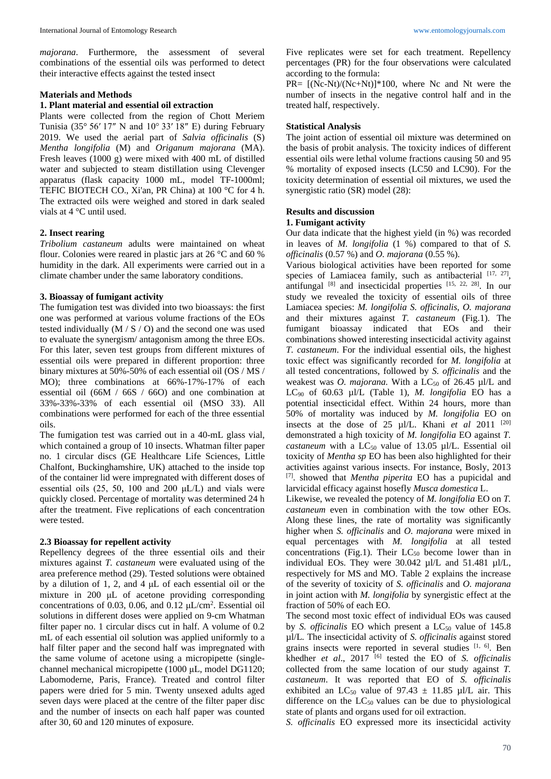*majorana*. Furthermore, the assessment of several combinations of the essential oils was performed to detect their interactive effects against the tested insect

### **Materials and Methods**

#### **1. Plant material and essential oil extraction**

Plants were collected from the region of Chott Meriem Tunisia (35 $\degree$  56' 17" N and 10 $\degree$  33' 18" E) during February 2019. We used the aerial part of *Salvia officinalis* (S) *Mentha longifolia* (M) and *Origanum majorana* (MA). Fresh leaves (1000 g) were mixed with 400 mL of distilled water and subjected to steam distillation using Clevenger apparatus (flask capacity 1000 mL, model TF-1000ml; TEFIC BIOTECH CO., Xi'an, PR China) at 100 °C for 4 h. The extracted oils were weighed and stored in dark sealed vials at 4 °C until used.

# **2. Insect rearing**

*Tribolium castaneum* adults were maintained on wheat flour. Colonies were reared in plastic jars at 26 °C and 60 % humidity in the dark. All experiments were carried out in a climate chamber under the same laboratory conditions.

#### **3. Bioassay of fumigant activity**

The fumigation test was divided into two bioassays: the first one was performed at various volume fractions of the EOs tested individually  $(M / S / O)$  and the second one was used to evaluate the synergism/ antagonism among the three EOs. For this later, seven test groups from different mixtures of essential oils were prepared in different proportion: three binary mixtures at 50%-50% of each essential oil (OS / MS / MO); three combinations at 66%-17%-17% of each essential oil (66M / 66S / 66O) and one combination at 33%-33%-33% of each essential oil (MSO 33). All combinations were performed for each of the three essential oils.

The fumigation test was carried out in a 40-mL glass vial, which contained a group of 10 insects. Whatman filter paper no. 1 circular discs (GE Healthcare Life Sciences, Little Chalfont, Buckinghamshire, UK) attached to the inside top of the container lid were impregnated with different doses of essential oils (25, 50, 100 and 200 μL/L) and vials were quickly closed. Percentage of mortality was determined 24 h after the treatment. Five replications of each concentration were tested.

#### **2.3 Bioassay for repellent activity**

Repellency degrees of the three essential oils and their mixtures against *T. castaneum* were evaluated using of the area preference method (29). Tested solutions were obtained by a dilution of 1, 2, and 4 μL of each essential oil or the mixture in 200 μL of acetone providing corresponding concentrations of 0.03, 0.06, and 0.12  $\mu$ L/cm<sup>2</sup>. Essential oil solutions in different doses were applied on 9-cm Whatman filter paper no. 1 circular discs cut in half. A volume of 0.2 mL of each essential oil solution was applied uniformly to a half filter paper and the second half was impregnated with the same volume of acetone using a micropipette (singlechannel mechanical micropipette (1000 μL, model DG1120; Labomoderne, Paris, France). Treated and control filter papers were dried for 5 min. Twenty unsexed adults aged seven days were placed at the centre of the filter paper disc and the number of insects on each half paper was counted after 30, 60 and 120 minutes of exposure.

Five replicates were set for each treatment. Repellency percentages (PR) for the four observations were calculated according to the formula:

PR= [(Nc-Nt)/(Nc+Nt)]\*100, where Nc and Nt were the number of insects in the negative control half and in the treated half, respectively.

### **Statistical Analysis**

The joint action of essential oil mixture was determined on the basis of probit analysis. The toxicity indices of different essential oils were lethal volume fractions causing 50 and 95 % mortality of exposed insects (LC50 and LC90). For the toxicity determination of essential oil mixtures, we used the synergistic ratio (SR) model (28):

# **Results and discussion**

#### **1. Fumigant activity**

Our data indicate that the highest yield (in %) was recorded in leaves of *M. longifolia* (1 %) compared to that of *S. officinalis* (0.57 %) and *O. majorana* (0.55 %).

Various biological activities have been reported for some species of Lamiacea family, such as antibacterial [17, 27], antifungal [8] and insecticidal properties [15, 22, 28]. In our study we revealed the toxicity of essential oils of three Lamiacea species: *M. longifolia S. officinalis*, *O. majorana* and their mixtures against *T. castaneum* (Fig.1). The fumigant bioassay indicated that EOs and their combinations showed interesting insecticidal activity against *T. castaneum*. For the individual essential oils, the highest toxic effect was significantly recorded for *M. longifolia* at all tested concentrations, followed by *S. officinalis* and the weakest was *O. majorana*. With a LC<sub>50</sub> of 26.45 µl/L and LC90 of 60.63 µl/L (Table 1), *M. longifolia* EO has a potential insecticidal effect. Within 24 hours, more than 50% of mortality was induced by *M. longifolia* EO on insects at the dose of 25 µl/L. Khani *et al* 2011<sup>[20]</sup> demonstrated a high toxicity of *M. longifolia* EO against *T. castaneum* with a  $LC_{50}$  value of 13.05 µl/L. Essential oil toxicity of *Mentha sp* EO has been also highlighted for their activities against various insects. For instance, Bosly, 2013 [7]. showed that *Mentha piperita* EO has a pupicidal and larvicidal efficacy against hosefly *Musca domestica* L.

Likewise, we revealed the potency of *M. longifolia* EO on *T. castaneum* even in combination with the tow other EOs. Along these lines, the rate of mortality was significantly higher when *S. officinalis* and *O. majorana* were mixed in equal percentages with *M. longifolia* at all tested concentrations (Fig.1). Their  $LC_{50}$  become lower than in individual EOs. They were 30.042 µl/L and 51.481 µl/L, respectively for MS and MO. Table 2 explains the increase of the severity of toxicity of *S. officinalis* and *O. majorana* in joint action with *M. longifolia* by synergistic effect at the fraction of 50% of each EO.

The second most toxic effect of individual EOs was caused by *S. officinalis* EO which present a LC<sub>50</sub> value of 145.8 µl/L*.* The insecticidal activity of *S. officinalis* against stored grains insects were reported in several studies [1, 6]. Ben khedher *et al*., 2017 [6] tested the EO of *S. officinalis* collected from the same location of our study against *T. castaneum*. It was reported that EO of *S. officinalis* exhibited an LC<sub>50</sub> value of 97.43  $\pm$  11.85 µl/L air. This difference on the  $LC_{50}$  values can be due to physiological state of plants and organs used for oil extraction.

*S. officinalis* EO expressed more its insecticidal activity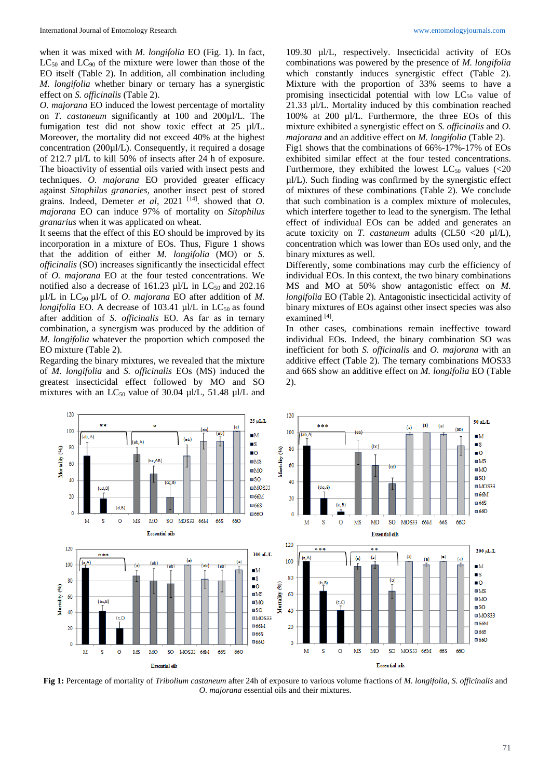when it was mixed with *M. longifolia* EO (Fig. 1). In fact,  $LC_{50}$  and  $LC_{90}$  of the mixture were lower than those of the EO itself (Table 2). In addition, all combination including *M. longifolia* whether binary or ternary has a synergistic effect on *S. officinalis* (Table 2).

*O. majorana* EO induced the lowest percentage of mortality on *T. castaneum* significantly at 100 and 200µl/L*.* The fumigation test did not show toxic effect at 25 µl/L. Moreover, the mortality did not exceed 40% at the highest concentration (200µl/L). Consequently, it required a dosage of 212.7 µl/L to kill 50% of insects after 24 h of exposure. The bioactivity of essential oils varied with insect pests and techniques. *O. majorana* EO provided greater efficacy against *Sitophilus granaries,* another insect pest of stored grains*.* Indeed, Demeter *et al*, 2021 [14]. showed that *O. majorana* EO can induce 97% of mortality on *Sitophilus granarius* when it was applicated on wheat.

It seems that the effect of this EO should be improved by its incorporation in a mixture of EOs. Thus, Figure 1 shows that the addition of either *M. longifolia* (MO) or *S. officinalis* (SO) increases significantly the insecticidal effect of *O. majorana* EO at the four tested concentrations. We notified also a decrease of 161.23  $\mu$ l/L in LC<sub>50</sub> and 202.16 µl/L in LC90 µl/L of *O. majorana* EO after addition of *M. longifolia* EO. A decrease of 103.41  $\mu$ I/L in LC<sub>50</sub> as found after addition of *S. officinalis* EO. As far as in ternary combination, a synergism was produced by the addition of *M. longifolia* whatever the proportion which composed the EO mixture (Table 2).

Regarding the binary mixtures, we revealed that the mixture of *M. longifolia* and *S. officinalis* EOs (MS) induced the greatest insecticidal effect followed by MO and SO mixtures with an LC<sub>50</sub> value of 30.04  $\mu$ l/L, 51.48  $\mu$ l/L and

109.30 µl/L, respectively. Insecticidal activity of EOs combinations was powered by the presence of *M. longifolia* which constantly induces synergistic effect (Table 2). Mixture with the proportion of 33% seems to have a promising insecticidal potential with low LC<sub>50</sub> value of 21.33 µl/L. Mortality induced by this combination reached 100% at 200 µl/L. Furthermore, the three EOs of this mixture exhibited a synergistic effect on *S. officinalis* and *O. majorana* and an additive effect on *M. longifolia* (Table 2).

Fig1 shows that the combinations of 66%-17%-17% of EOs exhibited similar effect at the four tested concentrations. Furthermore, they exhibited the lowest  $LC_{50}$  values (<20 µl/L). Such finding was confirmed by the synergistic effect of mixtures of these combinations (Table 2). We conclude that such combination is a complex mixture of molecules, which interfere together to lead to the synergism. The lethal effect of individual EOs can be added and generates an acute toxicity on *T. castaneum* adults (CL50 <20 µl/L), concentration which was lower than EOs used only, and the binary mixtures as well.

Differently, some combinations may curb the efficiency of individual EOs. In this context, the two binary combinations MS and MO at 50% show antagonistic effect on *M. longifolia* EO (Table 2). Antagonistic insecticidal activity of binary mixtures of EOs against other insect species was also examined [4].

In other cases, combinations remain ineffective toward individual EOs. Indeed, the binary combination SO was inefficient for both *S. officinalis* and *O. majorana* with an additive effect (Table 2). The ternary combinations MOS33 and 66S show an additive effect on *M. longifolia* EO (Table 2).



**Fig 1:** Percentage of mortality of *Tribolium castaneum* after 24h of exposure to various volume fractions of *M. longifolia*, *S. officinalis* and *O. majorana* essential oils and their mixtures.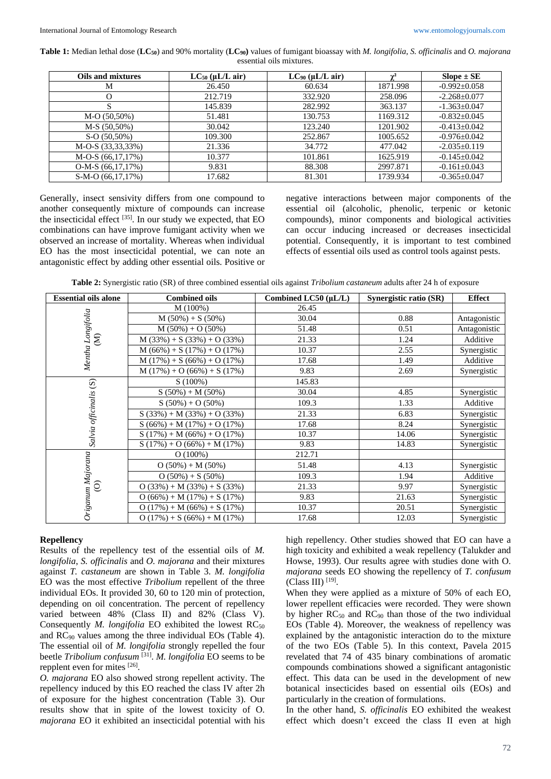**Table 1:** Median lethal dose (**LC50**) and 90% mortality (**LC90)** values of fumigant bioassay with *M. longifolia*, *S. officinalis* and *O. majorana* essential oils mixtures.

| <b>Oils and mixtures</b> | $LC_{50}$ ( $\mu L/L$ air) | $LC_{90}$ ( $\mu L/L$ air) | $\sim$   | $Slope \pm SE$     |
|--------------------------|----------------------------|----------------------------|----------|--------------------|
| M                        | 26.450                     | 60.634                     | 1871.998 | $-0.992 \pm 0.058$ |
|                          | 212.719                    | 332.920                    | 258.096  | $-2.268 \pm 0.077$ |
| S                        | 145.839                    | 282.992                    | 363.137  | $-1.363 \pm 0.047$ |
| $M-O(50,50%)$            | 51.481                     | 130.753                    | 1169.312 | $-0.832 \pm 0.045$ |
| $M-S(50,50\%)$           | 30.042                     | 123.240                    | 1201.902 | $-0.413 \pm 0.042$ |
| $S-O(50,50\%)$           | 109.300                    | 252.867                    | 1005.652 | $-0.976 \pm 0.042$ |
| M-O-S (33,33,33%)        | 21.336                     | 34.772                     | 477.042  | $-2.035\pm0.119$   |
| $M-O-S (66,17,17%)$      | 10.377                     | 101.861                    | 1625.919 | $-0.145 \pm 0.042$ |
| $O-M-S(66,17,17%)$       | 9.831                      | 88.308                     | 2997.871 | $-0.161 \pm 0.043$ |
| $S-M-O(66,17,17%)$       | 17.682                     | 81.301                     | 1739.934 | $-0.365 \pm 0.047$ |

Generally, insect sensivity differs from one compound to another consequently mixture of compounds can increase the insecticidal effect  $^{[35]}$ . In our study we expected, that EO combinations can have improve fumigant activity when we observed an increase of mortality. Whereas when individual EO has the most insecticidal potential, we can note an antagonistic effect by adding other essential oils. Positive or negative interactions between major components of the essential oil (alcoholic, phenolic, terpenic or ketonic compounds), minor components and biological activities can occur inducing increased or decreases insecticidal potential. Consequently, it is important to test combined effects of essential oils used as control tools against pests.

**Table 2:** Synergistic ratio (SR) of three combined essential oils against *Tribolium castaneum* adults after 24 h of exposure

| <b>Essential oils alone</b>        | <b>Combined oils</b>          | Combined LC50 (µL/L) | Synergistic ratio (SR) | <b>Effect</b> |
|------------------------------------|-------------------------------|----------------------|------------------------|---------------|
| Mentha Longifolia                  | M (100%)                      | 26.45                |                        |               |
|                                    | $M(50\%) + S(50\%)$           | 30.04                | 0.88                   | Antagonistic  |
|                                    | $M(50\%) + O(50\%)$           | 51.48                | 0.51                   | Antagonistic  |
| $\widehat{S}$                      | $M(33%) + S(33%) + O(33%)$    | 21.33                | 1.24                   | Additive      |
|                                    | $M(66%) + S(17%) + O(17%)$    | 10.37                | 2.55                   | Synergistic   |
|                                    | $M(17\%) + S(66\%) + O(17\%)$ | 17.68                | 1.49                   | Additive      |
|                                    | $M(17\%) + O(66\%) + S(17\%)$ | 9.83                 | 2.69                   | Synergistic   |
|                                    | S(100%)                       | 145.83               |                        |               |
|                                    | $S(50\%) + M(50\%)$           | 30.04                | 4.85                   | Synergistic   |
|                                    | $S(50\%) + O(50\%)$           | 109.3                | 1.33                   | Additive      |
|                                    | $S(33\%) + M(33\%) + O(33\%)$ | 21.33                | 6.83                   | Synergistic   |
| Salvia officinalis (S)             | $S(66\%) + M(17\%) + O(17\%)$ | 17.68                | 8.24                   | Synergistic   |
|                                    | $S(17\%) + M(66\%) + O(17\%)$ | 10.37                | 14.06                  | Synergistic   |
|                                    | $S(17\%) + O(66\%) + M(17\%)$ | 9.83                 | 14.83                  | Synergistic   |
| Origanum Majorana<br>$\widehat{O}$ | O(100%)                       | 212.71               |                        |               |
|                                    | $O(50\%) + M(50\%)$           | 51.48                | 4.13                   | Synergistic   |
|                                    | $O(50\%) + S(50\%)$           | 109.3                | 1.94                   | Additive      |
|                                    | $O(33\%) + M(33\%) + S(33\%)$ | 21.33                | 9.97                   | Synergistic   |
|                                    | $O(66\%) + M(17\%) + S(17\%)$ | 9.83                 | 21.63                  | Synergistic   |
|                                    | $O(17\%) + M(66\%) + S(17\%)$ | 10.37                | 20.51                  | Synergistic   |
|                                    | $O(17\%) + S(66\%) + M(17\%)$ | 17.68                | 12.03                  | Synergistic   |

# **Repellency**

Results of the repellency test of the essential oils of *M. longifolia*, *S. officinalis* and *O. majorana* and their mixtures against *T. castaneum* are shown in Table 3. *M. longifolia* EO was the most effective *Tribolium* repellent of the three individual EOs. It provided 30, 60 to 120 min of protection, depending on oil concentration. The percent of repellency varied between 48% (Class II) and 82% (Class V). Consequently *M. longifolia* EO exhibited the lowest  $RC_{50}$ and RC90 values among the three individual EOs (Table 4). The essential oil of *M. longifolia* strongly repelled the four beetle *Tribolium confusum* [31]. *M. longifolia* EO seems to be repplent even for mites [26].

*O. majorana* EO also showed strong repellent activity. The repellency induced by this EO reached the class IV after 2h of exposure for the highest concentration (Table 3). Our results show that in spite of the lowest toxicity of O. *majorana* EO it exhibited an insecticidal potential with his high repellency. Other studies showed that EO can have a high toxicity and exhibited a weak repellency (Talukder and Howse, 1993). Our results agree with studies done with O. *majorana* seeds EO showing the repellency of *T. confusum*   $(Class III)$ <sup>[19]</sup>.

When they were applied as a mixture of 50% of each EO, lower repellent efficacies were recorded. They were shown by higher  $RC_{50}$  and  $RC_{90}$  than those of the two individual EOs (Table 4). Moreover, the weakness of repellency was explained by the antagonistic interaction do to the mixture of the two EOs (Table 5). In this context, Pavela 2015 revelated that 74 of 435 binary combinations of aromatic compounds combinations showed a significant antagonistic effect. This data can be used in the development of new botanical insecticides based on essential oils (EOs) and particularly in the creation of formulations.

In the other hand, *S. officinalis* EO exhibited the weakest effect which doesn't exceed the class II even at high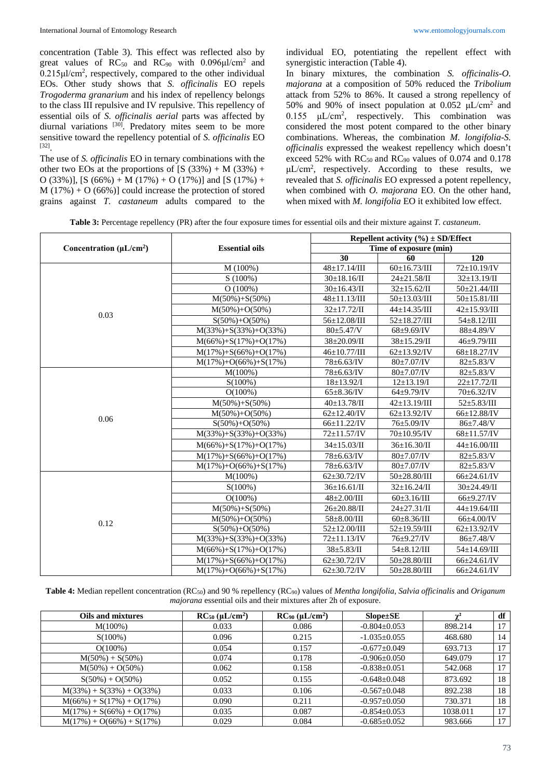concentration (Table 3). This effect was reflected also by great values of  $RC_{50}$  and  $RC_{90}$  with 0.096 $\mu$ l/cm<sup>2</sup> and 0.215μl/cm<sup>2</sup> , respectively, compared to the other individual EOs. Other study shows that *S. officinalis* EO repels *Trogoderma granarium* and his index of repellency belongs to the class III repulsive and IV repulsive. This repellency of essential oils of *S. officinalis aerial* parts was affected by diurnal variations <sup>[30]</sup>. Predatory mites seem to be more sensitive toward the repellency potential of *S. officinalis* EO [32].

The use of *S. officinalis* EO in ternary combinations with the other two EOs at the proportions of  $[S (33%) + M (33%) +$ O (33%)], [S (66%) + M (17%) + O (17%)] and [S (17%) +  $M(17%) + O(66%)$ ] could increase the protection of stored grains against *T. castaneum* adults compared to the

individual EO, potentiating the repellent effect with synergistic interaction (Table 4).

In binary mixtures, the combination *S. officinalis-O. majorana* at a composition of 50% reduced the *Tribolium*  attack from 52% to 86%. It caused a strong repellency of 50% and 90% of insect population at 0.052 μL/cm<sup>2</sup> and  $0.155$   $\mu$ L/cm<sup>2</sup>, respectively. This combination was considered the most potent compared to the other binary combinations. Whereas, the combination *M. longifolia*-*S. officinalis* expressed the weakest repellency which doesn't exceed 52% with  $RC_{50}$  and  $RC_{90}$  values of 0.074 and 0.178 μL/cm<sup>2</sup> , respectively. According to these results, we revealed that *S. officinalis* EO expressed a potent repellency, when combined with *O. majorana* EO. On the other hand, when mixed with *M. longifolia* EO it exhibited low effect.

**Table 3:** Percentage repellency (PR) after the four exposure times for essential oils and their mixture against *T. castaneum*.

|                                |                               | Repellent activity $(\% ) \pm SD/E$ ffect |                             |                             |  |
|--------------------------------|-------------------------------|-------------------------------------------|-----------------------------|-----------------------------|--|
| Concentration ( $\mu L/cm^2$ ) | <b>Essential oils</b>         | Time of exposure (min)                    |                             |                             |  |
|                                |                               | 30                                        | 60                          | 120                         |  |
|                                | M(100%)                       | $48 \pm 17.14 / \text{III}$               | $60\pm16.73/III$            | 72±10.19/IV                 |  |
|                                | $S(100\%)$                    | $30 \pm 18.16$ /II                        | $24 \pm 21.58$ /II          | $32 \pm 13.19$ /II          |  |
|                                | O(100%)                       | $30 \pm 16.43$ /II                        | $32 \pm 15.62 / \text{II}$  | 50±21.44/III                |  |
|                                | $M(50\%) + S(50\%)$           | $48 \pm 11.13/\text{III}$                 | $50 \pm 13.03 / \text{III}$ | $50 \pm 15.81 / \text{III}$ |  |
| 0.03                           | $M(50\%) + O(50\%)$           | $32 \pm 17.72$ /II                        | $44 \pm 14.35 / \text{III}$ | $42 \pm 15.93/\text{III}$   |  |
|                                | $S(50\%) + O(50\%)$           | 56±12.08/III                              | $52 \pm 18.27 / \text{III}$ | $54 \pm 8.12 / \text{III}$  |  |
|                                | $M(33\%) + S(33\%) + O(33\%)$ | $80 \pm 5.47$ /V                          | $68 \pm 9.69$ /IV           | 88±4.89/V                   |  |
|                                | $M(66\%) + S(17\%) + O(17\%)$ | 38±20.09/II                               | 38±15.29/II                 | 46±9.79/III                 |  |
|                                | $M(17\%) + S(66\%) + O(17\%)$ | $46 \pm 10.77 / \text{III}$               | $62\pm13.92$ /IV            | $68 \pm 18.27$ /IV          |  |
|                                | $M(17\%) + O(66\%) + S(17\%)$ | $78 \pm 6.63$ /IV                         | $80 \pm 7.07$ /IV           | $82 + 5.83/V$               |  |
|                                | M(100%)                       | 78±6.63/IV                                | $80 \pm 7.07$ /IV           | $82 + 5.83/V$               |  |
|                                | $S(100\%)$                    | $18 \pm 13.92$ /I                         | $12\pm 13.19$ /I            | $22 \pm 17.72$ /II          |  |
|                                | $O(100\%)$                    | $65 \pm 8.36$ /IV                         | $64\pm9.79$ /IV             | $70 \pm 6.32$ /IV           |  |
|                                | $M(50\%) + S(50\%)$           | $40 \pm 13.78$ /II                        | $42 \pm 13.19/\text{III}$   | $52 + 5.83 / \text{III}$    |  |
|                                | $M(50\%) + O(50\%)$           | $62 \pm 12.40$ /IV                        | $62 \pm 13.92$ /IV          | 66±12.88/IV                 |  |
| 0.06                           | $S(50\%) + O(50\%)$           | $66 \pm 11.22$ /IV                        | 76±5.09/IV                  | $86 \pm 7.48$ /V            |  |
|                                | $M(33\%) + S(33\%) + O(33\%)$ | $72 \pm 11.57$ /IV                        | $70 \pm 10.95$ /IV          | $68 \pm 11.57$ /IV          |  |
|                                | $M(66\%) + S(17\%) + O(17\%)$ | $34 \pm 15.03$ /II                        | $36 \pm 16.30$ /II          | $44 \pm 16.00 / \text{III}$ |  |
|                                | $M(17\%) + S(66\%) + O(17\%)$ | $78 + 6.63$ /IV                           | $80±7.07$ /IV               | $82 + 5.83/V$               |  |
|                                | $M(17\%) + O(66\%) + S(17\%)$ | $78 \pm 6.63$ /IV                         | $80\pm7.07$ /IV             | $82 \pm 5.83/V$             |  |
|                                | $M(100\%)$                    | $62{\pm}30.72$ /IV                        | $50 \pm 28.80 / \text{III}$ | $66 \pm 24.61$ /IV          |  |
|                                | $S(100\%)$                    | $36 \pm 16.61$ /II                        | $32 \pm 16.24$ /II          | $30 \pm 24.49$ /II          |  |
|                                | $O(100\%)$                    | $48 + 2.00 / \text{III}$                  | $60\pm3.16/III$             | $66{\pm}9.27$ /IV           |  |
|                                | $M(50\%) + S(50\%)$           | $26 \pm 20.88$ /II                        | $24 \pm 27.31/\text{II}$    | $44 \pm 19.64 / \text{III}$ |  |
| 0.12                           | $M(50\%) + O(50\%)$           | $58 \pm 8.00 /$ III                       | $60\pm8.36/III$             | $66±4.00$ /IV               |  |
|                                | $S(50\%) + O(50\%)$           | $52 \pm 12.00 / \text{III}$               | $\frac{1}{22}$ ±19.59/III   | $62 \pm 13.92$ /IV          |  |
|                                | $M(33\%) + S(33\%) + O(33\%)$ | $72 \pm 11.13$ /IV                        | 76±9.27/IV                  | 86±7.48/V                   |  |
|                                | $M(66\%) + S(17\%) + O(17\%)$ | $38 \pm 5.83/\text{II}$                   | $54 \pm 8.12 / \text{III}$  | 54±14.69/III                |  |
|                                | $M(17\%) + S(66\%) + O(17\%)$ | $62\pm30.72$ /IV                          | $50+28.80/III$              | $66 \pm 24.61$ /IV          |  |
|                                | $M(17\%) + O(66\%) + S(17\%)$ | $62\pm30.72$ /IV                          | $50 \pm 28.80 / \text{III}$ | $66 \pm 24.61$ /IV          |  |

**Table 4:** Median repellent concentration (RC50) and 90 % repellency (RC90) values of *Mentha longifolia, Salvia officinalis* and *Origanum majorana* essential oils and their mixtures after 2h of exposure.

| <b>Oils and mixtures</b>      | $RC_{50}$ ( $\mu L/cm^2$ ) | $RC_{90}$ ( $\mu L/cm^2$ ) | $Slope \pm SE$     | $\gamma^2$ | df |
|-------------------------------|----------------------------|----------------------------|--------------------|------------|----|
| $M(100\%)$                    | 0.033                      | 0.086                      | $-0.804\pm0.053$   | 898.214    | 17 |
| $S(100\%)$                    | 0.096                      | 0.215                      | $-1.035\pm0.055$   | 468.680    | 14 |
| $O(100\%)$                    | 0.054                      | 0.157                      | $-0.677 \pm 0.049$ | 693.713    | 17 |
| $M(50\%) + S(50\%)$           | 0.074                      | 0.178                      | $-0.906 \pm 0.050$ | 649.079    | 17 |
| $M(50\%) + O(50\%)$           | 0.062                      | 0.158                      | $-0.838 \pm 0.051$ | 542.068    | 17 |
| $S(50\%) + O(50\%)$           | 0.052                      | 0.155                      | $-0.648 \pm 0.048$ | 873.692    | 18 |
| $M(33\%) + S(33\%) + O(33\%)$ | 0.033                      | 0.106                      | $-0.567 \pm 0.048$ | 892.238    | 18 |
| $M(66\%) + S(17\%) + O(17\%)$ | 0.090                      | 0.211                      | $-0.957+0.050$     | 730.371    | 18 |
| $M(17%) + S(66%) + O(17%)$    | 0.035                      | 0.087                      | $-0.854\pm0.053$   | 1038.011   | 17 |
| $M(17\%) + O(66\%) + S(17\%)$ | 0.029                      | 0.084                      | $-0.685 \pm 0.052$ | 983.666    | 17 |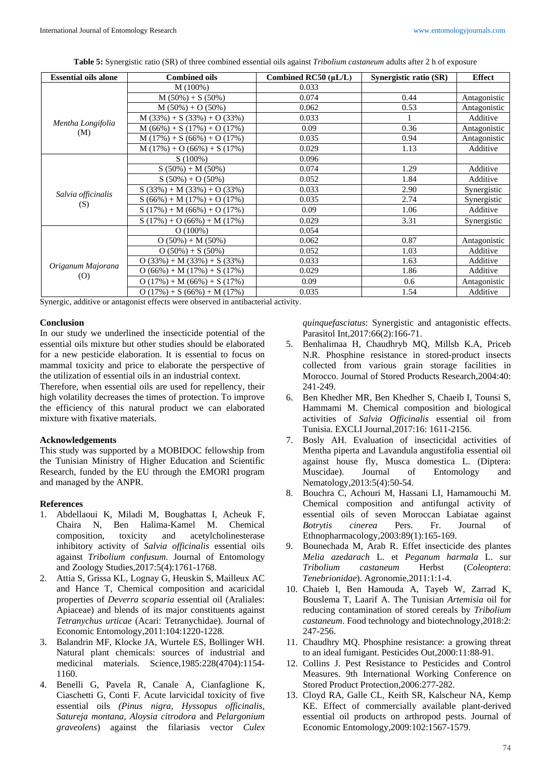|  | <b>Table 5:</b> Synergistic ratio (SR) of three combined essential oils against <i>Tribolium castaneum</i> adults after 2 h of exposure |
|--|-----------------------------------------------------------------------------------------------------------------------------------------|
|  |                                                                                                                                         |

| <b>Essential oils alone</b> | <b>Combined oils</b>          | Combined RC50 $(\mu L/L)$ | Synergistic ratio (SR) | <b>Effect</b> |
|-----------------------------|-------------------------------|---------------------------|------------------------|---------------|
|                             | M(100%)                       | 0.033                     |                        |               |
|                             | $M(50\%) + S(50\%)$           | 0.074                     | 0.44                   | Antagonistic  |
|                             | $M(50\%) + O(50\%)$           | 0.062                     | 0.53                   | Antagonistic  |
|                             | $M(33%) + S(33%) + O(33%)$    | 0.033                     |                        | Additive      |
| Mentha Longifolia           | $M(66\%) + S(17\%) + O(17\%)$ | 0.09                      | 0.36                   | Antagonistic  |
| (M)                         | $M(17\%) + S(66\%) + O(17\%)$ | 0.035                     | 0.94                   | Antagonistic  |
|                             | $M(17%) + O(66%) + S(17%)$    | 0.029                     | 1.13                   | Additive      |
|                             | $S(100\%)$                    | 0.096                     |                        |               |
|                             | $S(50\%) + M(50\%)$           | 0.074                     | 1.29                   | Additive      |
|                             | $S(50\%) + O(50\%)$           | 0.052                     | 1.84                   | Additive      |
|                             | $S(33\%) + M(33\%) + O(33\%)$ | 0.033                     | 2.90                   | Synergistic   |
| Salvia officinalis<br>(S)   | $S(66\%) + M(17\%) + O(17\%)$ | 0.035                     | 2.74                   | Synergistic   |
|                             | $S(17\%) + M(66\%) + O(17\%)$ | 0.09                      | 1.06                   | Additive      |
|                             | $S(17\%) + O(66\%) + M(17\%)$ | 0.029                     | 3.31                   | Synergistic   |
|                             | O(100%)                       | 0.054                     |                        |               |
| Origanum Majorana<br>(0)    | $O(50\%) + M(50\%)$           | 0.062                     | 0.87                   | Antagonistic  |
|                             | $O(50\%) + S(50\%)$           | 0.052                     | 1.03                   | Additive      |
|                             | $O(33\%) + M(33\%) + S(33\%)$ | 0.033                     | 1.63                   | Additive      |
|                             | $O(66\%) + M(17\%) + S(17\%)$ | 0.029                     | 1.86                   | Additive      |
|                             | $O(17\%) + M(66\%) + S(17\%)$ | 0.09                      | 0.6                    | Antagonistic  |
|                             | $O(17\%) + S(66\%) + M(17\%)$ | 0.035                     | 1.54                   | Additive      |

Synergic, additive or antagonist effects were observed in antibacterial activity.

#### **Conclusion**

In our study we underlined the insecticide potential of the essential oils mixture but other studies should be elaborated for a new pesticide elaboration. It is essential to focus on mammal toxicity and price to elaborate the perspective of the utilization of essential oils in an industrial context.

Therefore, when essential oils are used for repellency, their high volatility decreases the times of protection. To improve the efficiency of this natural product we can elaborated mixture with fixative materials.

#### **Acknowledgements**

This study was supported by a MOBIDOC fellowship from the Tunisian Ministry of Higher Education and Scientific Research, funded by the EU through the EMORI program and managed by the ANPR.

# **References**

- 1. Abdellaoui K, Miladi M, Boughattas I, Acheuk F, Chaira N, Ben Halima-Kamel M. Chemical composition, toxicity and acetylcholinesterase inhibitory activity of *Salvia officinalis* essential oils against *Tribolium confusum*. Journal of Entomology and Zoology Studies,2017:5(4):1761-1768.
- 2. Attia S, Grissa KL, Lognay G, Heuskin S, Mailleux AC and Hance T, Chemical composition and acaricidal properties of *Deverra scoparia* essential oil (Araliales: Apiaceae) and blends of its major constituents against *Tetranychus urticae* (Acari: Tetranychidae). Journal of Economic Entomology,2011:104:1220-1228.
- 3. Balandrin MF, Klocke JA, Wurtele ES, Bollinger WH. Natural plant chemicals: sources of industrial and medicinal materials*.* Science,1985:228(4704):1154- 1160.
- 4. Benelli G, Pavela R, Canale A, Cianfaglione K, Ciaschetti G, Conti F. Acute larvicidal toxicity of five essential oils *(Pinus nigra*, *Hyssopus officinalis*, *Satureja montana*, *Aloysia citrodora* and *Pelargonium graveolens*) against the filariasis vector *Culex*

*quinquefasciatus*: Synergistic and antagonistic effects. Parasitol Int,2017:66(2):166-71.

- 5. Benhalimaa H, Chaudhryb MQ, Millsb K.A, Priceb N.R. Phosphine resistance in stored-product insects collected from various grain storage facilities in Morocco. Journal of Stored Products Research,2004:40: 241-249.
- 6. Ben Khedher MR, Ben Khedher S, Chaeib I, Tounsi S, Hammami M. Chemical composition and biological activities of *Salvia Officinalis* essential oil from Tunisia. EXCLI Journal,2017:16: 1611-2156.
- 7. Bosly AH. Evaluation of insecticidal activities of Mentha piperta and Lavandula angustifolia essential oil against house fly, Musca domestica L. (Diptera: Muscidae). Journal of Entomology and Nematology,2013:5(4):50-54.
- 8. Bouchra C, Achouri M, Hassani LI, Hamamouchi M. Chemical composition and antifungal activity of essential oils of seven Moroccan Labiatae against<br> *Rotrytis cinerea* Pers. Fr. Journal of *Botrytis cinerea* Pers. Fr. Journal of Ethnopharmacology,2003:89(1):165-169.
- 9. Bounechada M, Arab R. Effet insecticide des plantes *Melia azedarach* L. et *Peganum harmala* L. sur *Tribolium castaneum* Herbst (*Coleoptera*: *Tenebrionidae*). Agronomie,2011:1:1-4.
- 10. Chaieb I, Ben Hamouda A, Tayeb W, Zarrad K, Bouslema T, Laarif A. The Tunisian *Artemisia* oil for reducing contamination of stored cereals by *Tribolium castaneum*. Food technology and biotechnology,2018:2: 247-256.
- 11. Chaudhry MQ. Phosphine resistance: a growing threat to an ideal fumigant. Pesticides Out,2000:11:88-91.
- 12. Collins J. Pest Resistance to Pesticides and Control Measures. 9th International Working Conference on Stored Product Protection,2006:277-282.
- 13. Cloyd RA, Galle CL, Keith SR, Kalscheur NA, Kemp KE. Effect of commercially available plant-derived essential oil products on arthropod pests. Journal of Economic Entomology,2009:102:1567-1579.